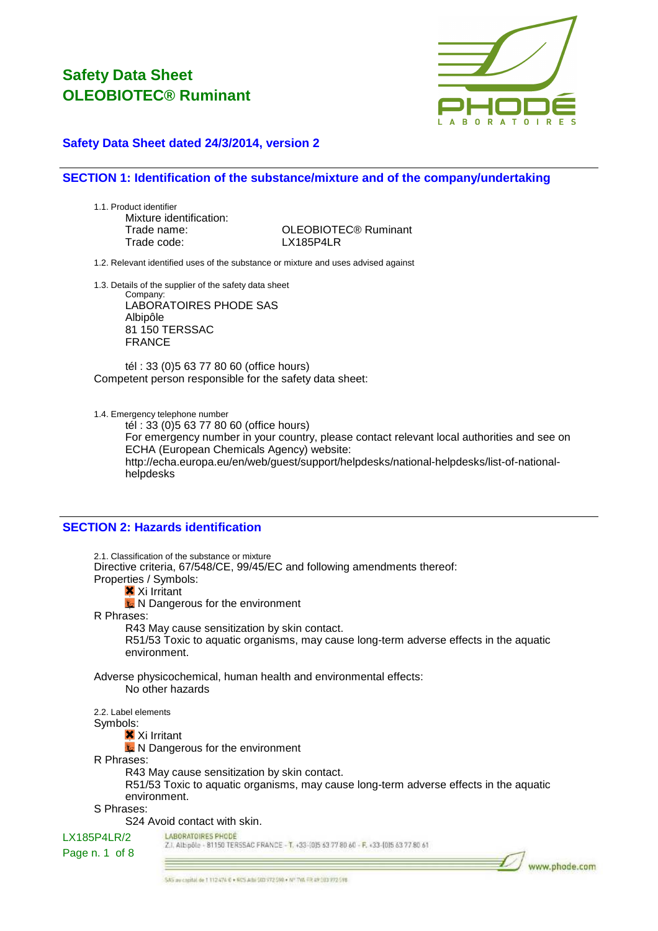

### **Safety Data Sheet dated 24/3/2014, version 2**

### **SECTION 1: Identification of the substance/mixture and of the company/undertaking**

1.1. Product identifier Mixture identification: Trade code: LX185P4LR

Trade name: OLEOBIOTEC® Ruminant

1.2. Relevant identified uses of the substance or mixture and uses advised against

1.3. Details of the supplier of the safety data sheet

Company: LABORATOIRES PHODE SAS Albipôle 81 150 TERSSAC FRANCE

tél : 33 (0)5 63 77 80 60 (office hours) Competent person responsible for the safety data sheet:

1.4. Emergency telephone number

tél : 33 (0)5 63 77 80 60 (office hours) For emergency number in your country, please contact relevant local authorities and see on ECHA (European Chemicals Agency) website: http://echa.europa.eu/en/web/guest/support/helpdesks/national-helpdesks/list-of-nationalhelpdesks

### **SECTION 2: Hazards identification**

2.1. Classification of the substance or mixture Directive criteria, 67/548/CE, 99/45/EC and following amendments thereof: Properties / Symbols: **X** Xi Irritant **K** N Dangerous for the environment R Phrases: R43 May cause sensitization by skin contact. R51/53 Toxic to aquatic organisms, may cause long-term adverse effects in the aquatic environment. Adverse physicochemical, human health and environmental effects: No other hazards 2.2. Label elements Symbols: **X** Xi Irritant  $\triangle$  N Dangerous for the environment R Phrases: R43 May cause sensitization by skin contact. R51/53 Toxic to aquatic organisms, may cause long-term adverse effects in the aquatic environment. S Phrases: S24 Avoid contact with skin. LABORATOIRES PHODE LX185P4LR/2 Z.I. Albipôle - 81150 TERSSAC FRANCE - T. +33-(0)5 63 77 80 60 - F. +33-(0)5 63 77 80 61 Page n. 1 of 8

www.phode.com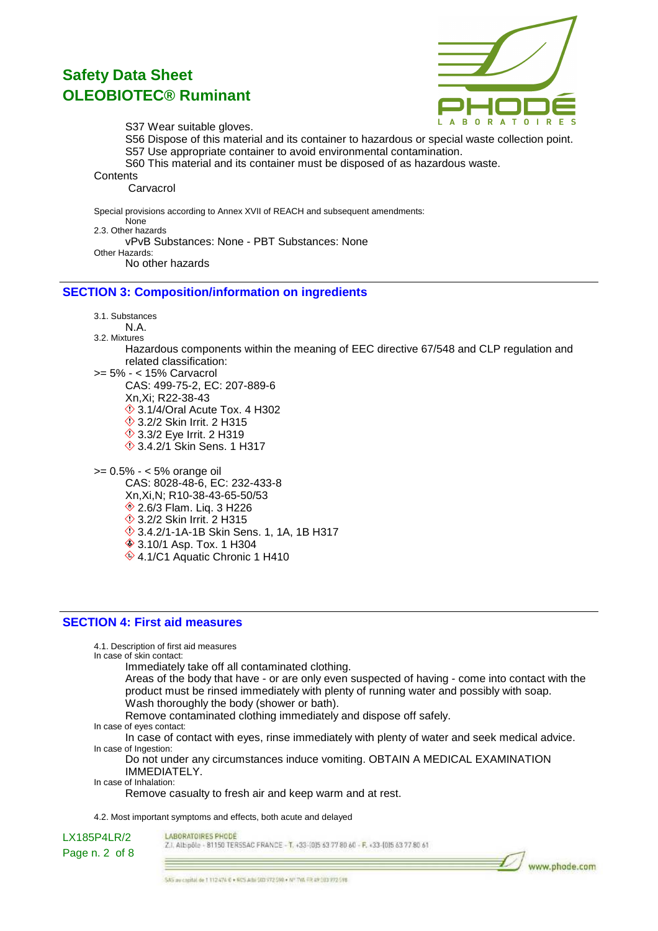

S37 Wear suitable gloves.

- S56 Dispose of this material and its container to hazardous or special waste collection point. S57 Use appropriate container to avoid environmental contamination.
- S60 This material and its container must be disposed of as hazardous waste.

**Contents** 

Carvacrol

Special provisions according to Annex XVII of REACH and subsequent amendments: None 2.3. Other hazards vPvB Substances: None - PBT Substances: None Other Hazards: No other hazards

### **SECTION 3: Composition/information on ingredients**

3.1. Substances

- N.A.
- 3.2. Mixtures Hazardous components within the meaning of EEC directive 67/548 and CLP regulation and related classification:
- >= 5% < 15% Carvacrol CAS: 499-75-2, EC: 207-889-6 Xn,Xi; R22-38-43  $\Diamond$  3.1/4/Oral Acute Tox. 4 H302 **♦ 3.2/2 Skin Irrit. 2 H315 ♦ 3.3/2 Eye Irrit. 2 H319** 3.4.2/1 Skin Sens. 1 H317
- >= 0.5% < 5% orange oil CAS: 8028-48-6, EC: 232-433-8 Xn,Xi,N; R10-38-43-65-50/53 2.6/3 Flam. Liq. 3 H226 **13.2/2 Skin Irrit. 2 H315**  $\circ$  3.4.2/1-1A-1B Skin Sens. 1, 1A, 1B H317 **♦ 3.10/1 Asp. Tox. 1 H304** ♦ 4.1/C1 Aquatic Chronic 1 H410

### **SECTION 4: First aid measures**

4.1. Description of first aid measures In case of skin contact: Immediately take off all contaminated clothing. Areas of the body that have - or are only even suspected of having - come into contact with the product must be rinsed immediately with plenty of running water and possibly with soap. Wash thoroughly the body (shower or bath). Remove contaminated clothing immediately and dispose off safely. In case of eyes contact: In case of contact with eyes, rinse immediately with plenty of water and seek medical advice.

In case of Ingestion:

Do not under any circumstances induce vomiting. OBTAIN A MEDICAL EXAMINATION IMMEDIATELY.

In case of Inhalation:

Remove casualty to fresh air and keep warm and at rest.

4.2. Most important symptoms and effects, both acute and delayed

LABORATOIRES PHODE

LX185P4LR/2

Z.I. Albipôle - 81150 TERSSAC FRANCE - T. +33-(0)5 63 77 80 60 - F. +33-(0)5 63 77 80 61

Page n. 2 of 8

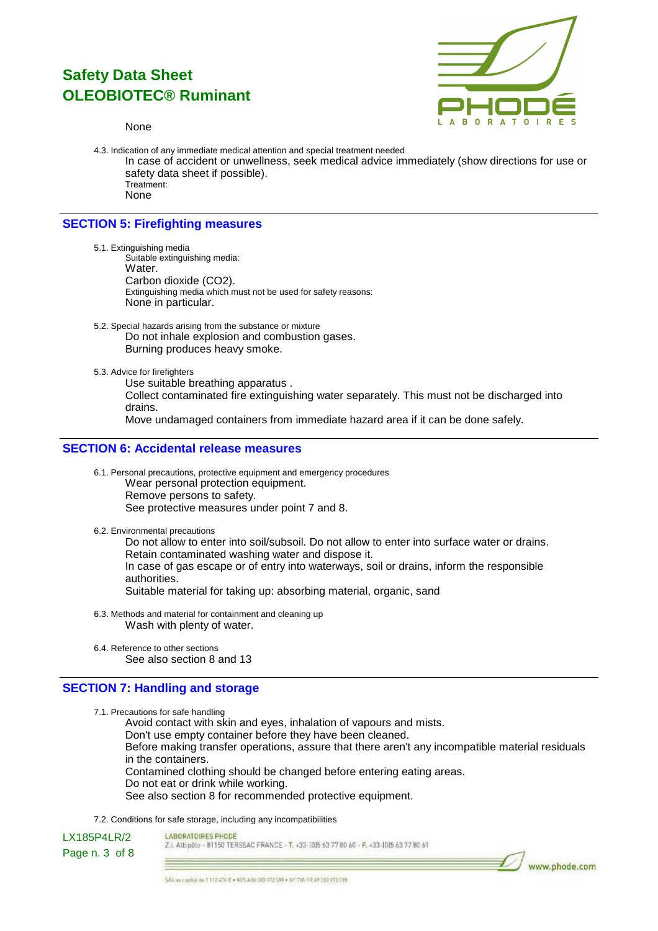#### None



4.3. Indication of any immediate medical attention and special treatment needed In case of accident or unwellness, seek medical advice immediately (show directions for use or safety data sheet if possible). Treatment: None

### **SECTION 5: Firefighting measures**

- 5.1. Extinguishing media Suitable extinguishing media: Water. Carbon dioxide (CO2). Extinguishing media which must not be used for safety reasons: None in particular.
- 5.2. Special hazards arising from the substance or mixture Do not inhale explosion and combustion gases. Burning produces heavy smoke.
- 5.3. Advice for firefighters

Use suitable breathing apparatus . Collect contaminated fire extinguishing water separately. This must not be discharged into drains. Move undamaged containers from immediate hazard area if it can be done safely.

### **SECTION 6: Accidental release measures**

- 6.1. Personal precautions, protective equipment and emergency procedures Wear personal protection equipment. Remove persons to safety. See protective measures under point 7 and 8.
- 6.2. Environmental precautions

Do not allow to enter into soil/subsoil. Do not allow to enter into surface water or drains. Retain contaminated washing water and dispose it. In case of gas escape or of entry into waterways, soil or drains, inform the responsible authorities. Suitable material for taking up: absorbing material, organic, sand

- 6.3. Methods and material for containment and cleaning up Wash with plenty of water.
- 6.4. Reference to other sections See also section 8 and 13

### **SECTION 7: Handling and storage**

7.1. Precautions for safe handling

Avoid contact with skin and eyes, inhalation of vapours and mists. Don't use empty container before they have been cleaned. Before making transfer operations, assure that there aren't any incompatible material residuals in the containers. Contamined clothing should be changed before entering eating areas. Do not eat or drink while working. See also section 8 for recommended protective equipment.

7.2. Conditions for safe storage, including any incompatibilities

LX185P4LR/2 Page n. 3 of 8 LABORATOIRES PHODE

Z.I. Albipôle - 81150 TERSSAC FRANCE - T. +33-1015 63 77 80 60 - F. +33-1015 63 77 80 61

www.phode.com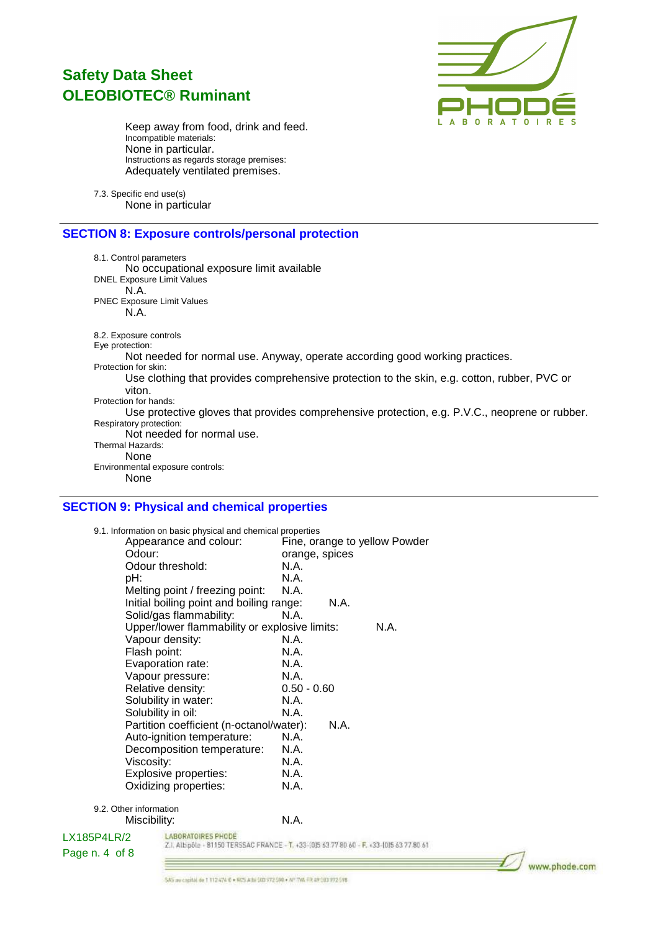

Keep away from food, drink and feed. Incompatible materials: None in particular. Instructions as regards storage premises: Adequately ventilated premises.

7.3. Specific end use(s) None in particular

### **SECTION 8: Exposure controls/personal protection**

8.1. Control parameters No occupational exposure limit available DNEL Exposure Limit Values N.A. PNEC Exposure Limit Values N.A. 8.2. Exposure controls Eye protection: Not needed for normal use. Anyway, operate according good working practices. Protection for skin: Use clothing that provides comprehensive protection to the skin, e.g. cotton, rubber, PVC or viton. Protection for hands: Use protective gloves that provides comprehensive protection, e.g. P.V.C., neoprene or rubber. Respiratory protection: Not needed for normal use. Thermal Hazards: None Environmental exposure controls: None

### **SECTION 9: Physical and chemical properties**

|                                                                                                            | 9.1. Information on basic physical and chemical properties<br>Appearance and colour: |               |                | Fine, orange to yellow Powder |
|------------------------------------------------------------------------------------------------------------|--------------------------------------------------------------------------------------|---------------|----------------|-------------------------------|
| Odour:                                                                                                     |                                                                                      |               | orange, spices |                               |
| Odour threshold:                                                                                           |                                                                                      | N.A.          |                |                               |
| pH:                                                                                                        |                                                                                      | N.A.          |                |                               |
| Melting point / freezing point:                                                                            |                                                                                      | N.A.          |                |                               |
| Initial boiling point and boiling range:                                                                   |                                                                                      |               | N.A.           |                               |
|                                                                                                            | Solid/gas flammability:                                                              | N.A.          |                |                               |
|                                                                                                            | Upper/lower flammability or explosive limits:                                        |               |                | N.A.                          |
|                                                                                                            | Vapour density:                                                                      | N.A.          |                |                               |
| Flash point:                                                                                               |                                                                                      | N.A.          |                |                               |
|                                                                                                            | Evaporation rate:                                                                    | N.A.          |                |                               |
|                                                                                                            | Vapour pressure:                                                                     | N.A.          |                |                               |
| Relative density:                                                                                          |                                                                                      | $0.50 - 0.60$ |                |                               |
|                                                                                                            | Solubility in water:                                                                 | N.A.          |                |                               |
|                                                                                                            | Solubility in oil:                                                                   | N.A.          |                |                               |
|                                                                                                            | Partition coefficient (n-octanol/water):                                             |               | N.A.           |                               |
|                                                                                                            | Auto-ignition temperature:                                                           | N.A.          |                |                               |
| Decomposition temperature:                                                                                 |                                                                                      | N.A.          |                |                               |
| Viscosity:                                                                                                 |                                                                                      | N.A.          |                |                               |
| Explosive properties:                                                                                      |                                                                                      | N.A.          |                |                               |
| Oxidizing properties:                                                                                      |                                                                                      | N.A.          |                |                               |
| 9.2. Other information                                                                                     |                                                                                      |               |                |                               |
| Miscibility:                                                                                               |                                                                                      | N.A.          |                |                               |
| LX185P4LR/2                                                                                                | <b>LABORATOIRES PHODE</b>                                                            |               |                |                               |
| Z.I. Albipõle - 81150 TERSSAC FRANCE - T. +33-(0)5 63 77 80 60 - F. +33-(0)5 63 77 80 61<br>Page n. 4 of 8 |                                                                                      |               |                |                               |
|                                                                                                            |                                                                                      |               |                |                               |

www.phode.com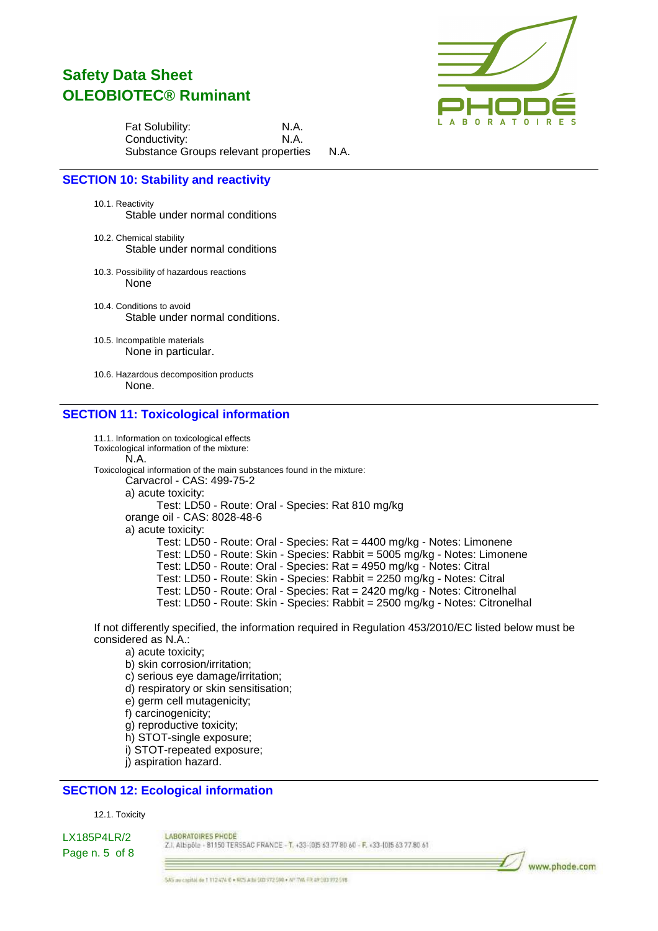

Fat Solubility: N.A. Conductivity: N.A. Substance Groups relevant properties N.A.

### **SECTION 10: Stability and reactivity**

10.1. Reactivity Stable under normal conditions

- 10.2. Chemical stability Stable under normal conditions
- 10.3. Possibility of hazardous reactions None
- 10.4. Conditions to avoid Stable under normal conditions.

10.5. Incompatible materials None in particular.

10.6. Hazardous decomposition products None.

### **SECTION 11: Toxicological information**

11.1. Information on toxicological effects Toxicological information of the mixture: N.A. Toxicological information of the main substances found in the mixture: Carvacrol - CAS: 499-75-2 a) acute toxicity: Test: LD50 - Route: Oral - Species: Rat 810 mg/kg orange oil - CAS: 8028-48-6 a) acute toxicity: Test: LD50 - Route: Oral - Species: Rat = 4400 mg/kg - Notes: Limonene Test: LD50 - Route: Skin - Species: Rabbit = 5005 mg/kg - Notes: Limonene Test: LD50 - Route: Oral - Species: Rat = 4950 mg/kg - Notes: Citral Test: LD50 - Route: Skin - Species: Rabbit = 2250 mg/kg - Notes: Citral Test: LD50 - Route: Oral - Species: Rat = 2420 mg/kg - Notes: Citronelhal Test: LD50 - Route: Skin - Species: Rabbit = 2500 mg/kg - Notes: Citronelhal

If not differently specified, the information required in Regulation 453/2010/EC listed below must be considered as N.A.:

- a) acute toxicity;
- b) skin corrosion/irritation;
- c) serious eye damage/irritation;
- d) respiratory or skin sensitisation;
- e) germ cell mutagenicity;
- f) carcinogenicity;
- g) reproductive toxicity;
- h) STOT-single exposure;
- i) STOT-repeated exposure;
- j) aspiration hazard.

### **SECTION 12: Ecological information**

#### 12.1. Toxicity

LX185P4LR/2 Page n. 5 of 8 LABORATOIRES PHODE Z.I. Albipôle - 81150 TERSSAC FRANCE - T. +33-(0)5 63 77 80 60 - F. +33-(0)5 63 77 80 61

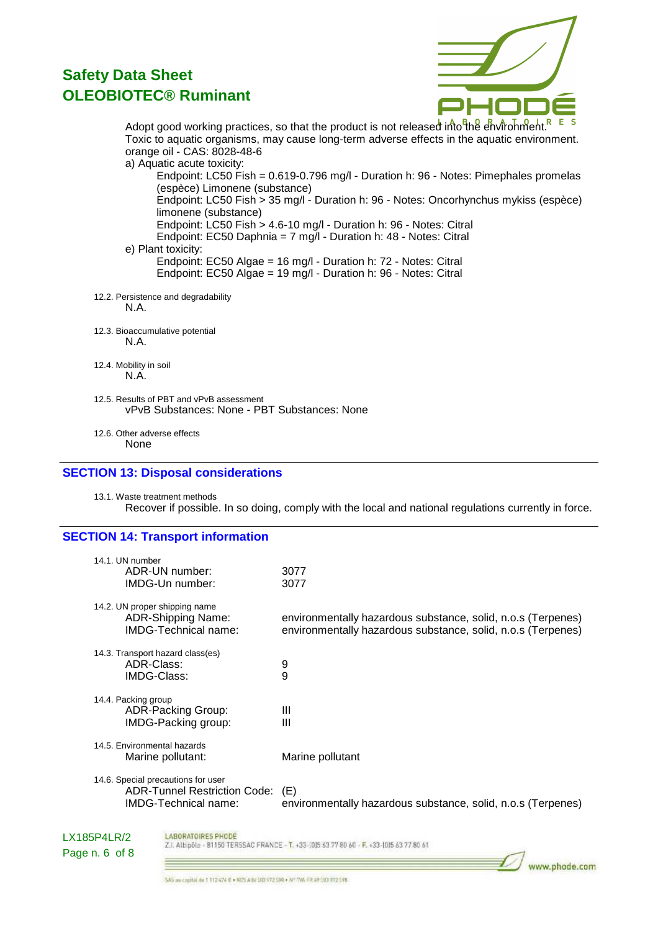

www.phode.com

Adopt good working practices, so that the product is not released into the environment.<sup>R</sup> Toxic to aquatic organisms, may cause long-term adverse effects in the aquatic environment. orange oil - CAS: 8028-48-6 a) Aquatic acute toxicity: Endpoint: LC50 Fish = 0.619-0.796 mg/l - Duration h: 96 - Notes: Pimephales promelas (espèce) Limonene (substance)

Endpoint: LC50 Fish > 35 mg/l - Duration h: 96 - Notes: Oncorhynchus mykiss (espèce) limonene (substance) Endpoint: LC50 Fish > 4.6-10 mg/l - Duration h: 96 - Notes: Citral

Endpoint: EC50 Daphnia = 7 mg/l - Duration h: 48 - Notes: Citral

e) Plant toxicity:

Endpoint: EC50 Algae = 16 mg/l - Duration h: 72 - Notes: Citral Endpoint: EC50 Algae = 19 mg/l - Duration h: 96 - Notes: Citral

- 12.2. Persistence and degradability N.A.
- 12.3. Bioaccumulative potential N.A.
- 12.4. Mobility in soil N.A.
- 12.5. Results of PBT and vPvB assessment vPvB Substances: None - PBT Substances: None
- 12.6. Other adverse effects None

#### **SECTION 13: Disposal considerations**

13.1. Waste treatment methods Recover if possible. In so doing, comply with the local and national regulations currently in force.

### **SECTION 14: Transport information**

| 14.1. UN number<br>ADR-UN number:<br>IMDG-Un number:                                              | 3077<br>3077                                                                                                                 |
|---------------------------------------------------------------------------------------------------|------------------------------------------------------------------------------------------------------------------------------|
| 14.2. UN proper shipping name<br>ADR-Shipping Name:<br>IMDG-Technical name:                       | environmentally hazardous substance, solid, n.o.s (Terpenes)<br>environmentally hazardous substance, solid, n.o.s (Terpenes) |
| 14.3. Transport hazard class(es)<br>ADR-Class:<br>IMDG-Class:                                     | 9<br>9                                                                                                                       |
| 14.4. Packing group<br><b>ADR-Packing Group:</b><br>IMDG-Packing group:                           | Ш<br>Ш                                                                                                                       |
| 14.5. Environmental hazards<br>Marine pollutant:                                                  | Marine pollutant                                                                                                             |
| 14.6. Special precautions for user<br><b>ADR-Tunnel Restriction Code:</b><br>IMDG-Technical name: | (E)<br>environmentally hazardous substance, solid, n.o.s (Terpenes)                                                          |

#### LABORATOIRES PHODE

Z.I. Albipóle - 81150 TERSSAC FRANCE - T. +33-{0}5 63 77 80 60 - F. +33-{0}5 63 77 80 61

LX185P4LR/2 Page n. 6 of 8

SAS av capital de 1 112 474 € + 605 Athi 503 772 598 + Nº TVA FR A9 303 972 598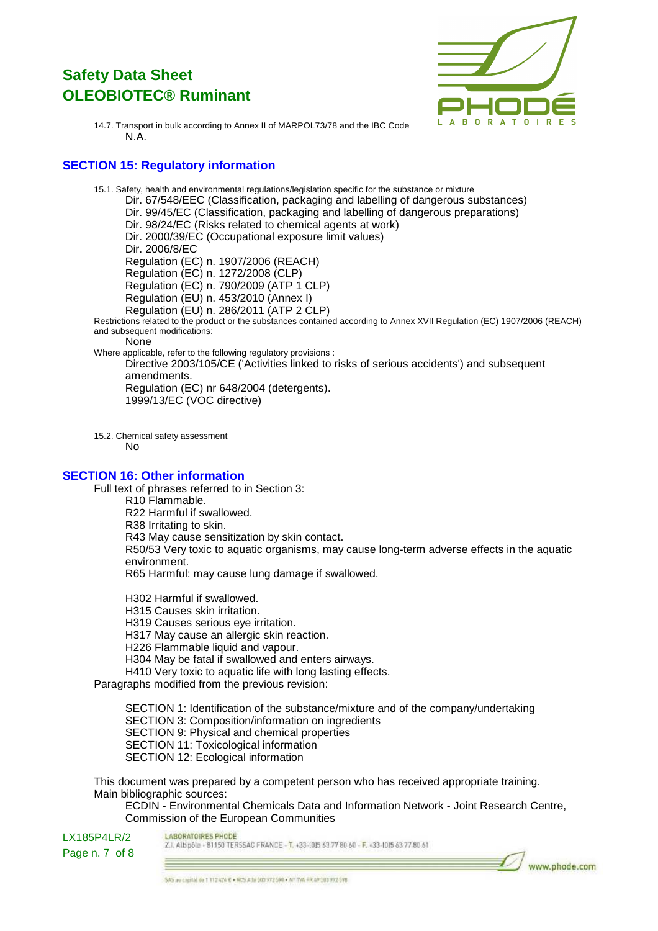

14.7. Transport in bulk according to Annex II of MARPOL73/78 and the IBC Code N.A.

### **SECTION 15: Regulatory information**

15.1. Safety, health and environmental regulations/legislation specific for the substance or mixture Dir. 67/548/EEC (Classification, packaging and labelling of dangerous substances) Dir. 99/45/EC (Classification, packaging and labelling of dangerous preparations) Dir. 98/24/EC (Risks related to chemical agents at work) Dir. 2000/39/EC (Occupational exposure limit values) Dir. 2006/8/EC Regulation (EC) n. 1907/2006 (REACH) Regulation (EC) n. 1272/2008 (CLP) Regulation (EC) n. 790/2009 (ATP 1 CLP) Regulation (EU) n. 453/2010 (Annex I) Regulation (EU) n. 286/2011 (ATP 2 CLP) Restrictions related to the product or the substances contained according to Annex XVII Regulation (EC) 1907/2006 (REACH) and subsequent modifications: None Where applicable, refer to the following regulatory provisions : Directive 2003/105/CE ('Activities linked to risks of serious accidents') and subsequent amendments. Regulation (EC) nr 648/2004 (detergents). 1999/13/EC (VOC directive)

15.2. Chemical safety assessment No

#### **SECTION 16: Other information**

Full text of phrases referred to in Section 3:

R10 Flammable. R22 Harmful if swallowed. R38 Irritating to skin. R43 May cause sensitization by skin contact. R50/53 Very toxic to aquatic organisms, may cause long-term adverse effects in the aquatic environment. R65 Harmful: may cause lung damage if swallowed.

H302 Harmful if swallowed. H315 Causes skin irritation. H319 Causes serious eye irritation. H317 May cause an allergic skin reaction. H226 Flammable liquid and vapour. H304 May be fatal if swallowed and enters airways. H410 Very toxic to aquatic life with long lasting effects. Paragraphs modified from the previous revision:

SECTION 1: Identification of the substance/mixture and of the company/undertaking SECTION 3: Composition/information on ingredients SECTION 9: Physical and chemical properties SECTION 11: Toxicological information SECTION 12: Ecological information

This document was prepared by a competent person who has received appropriate training. Main bibliographic sources:

ECDIN - Environmental Chemicals Data and Information Network - Joint Research Centre, Commission of the European Communities